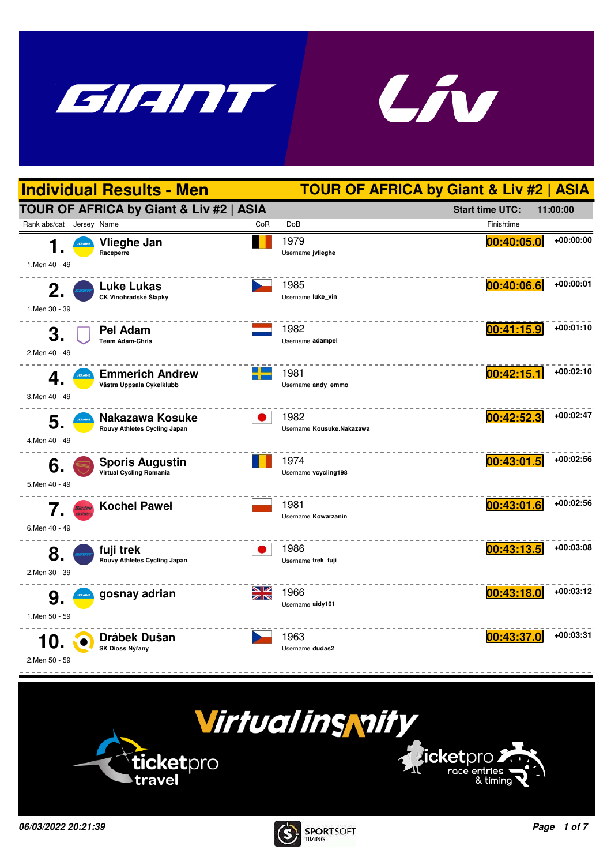







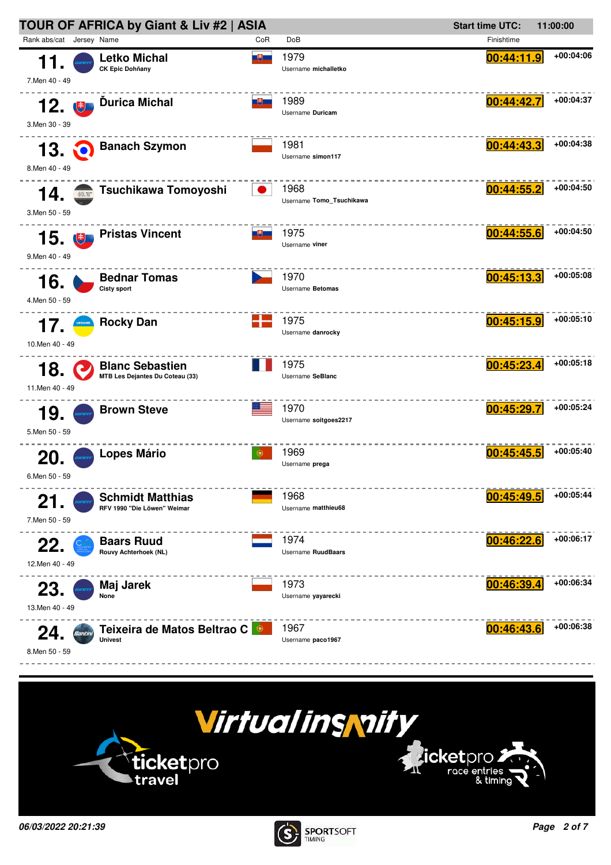



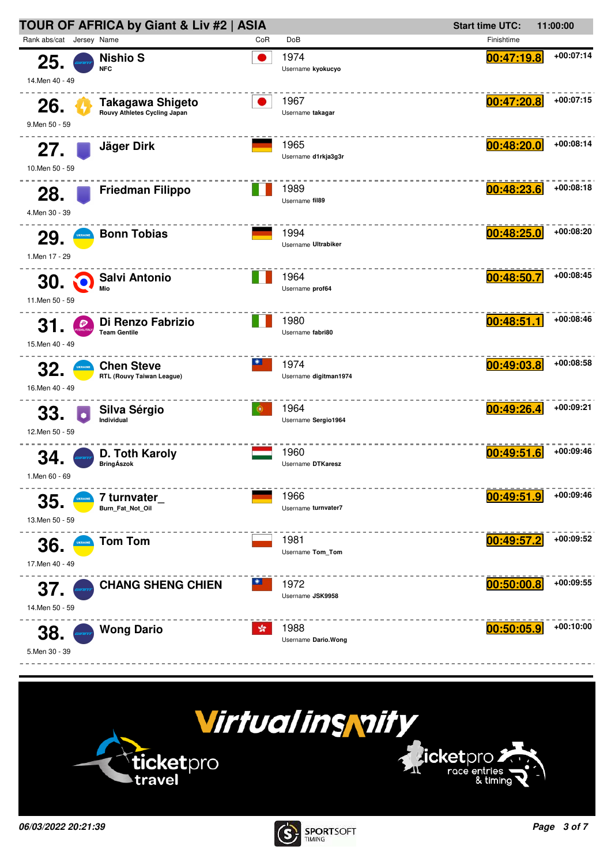



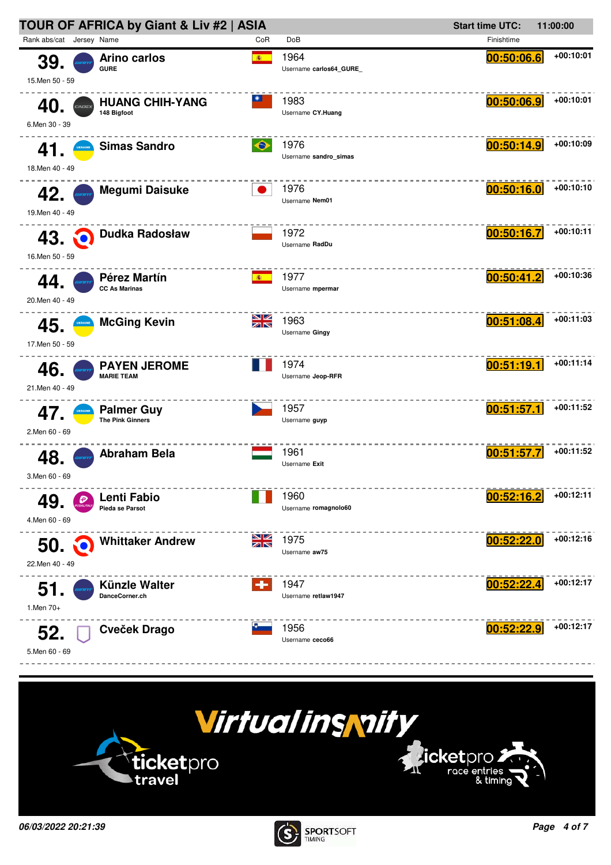



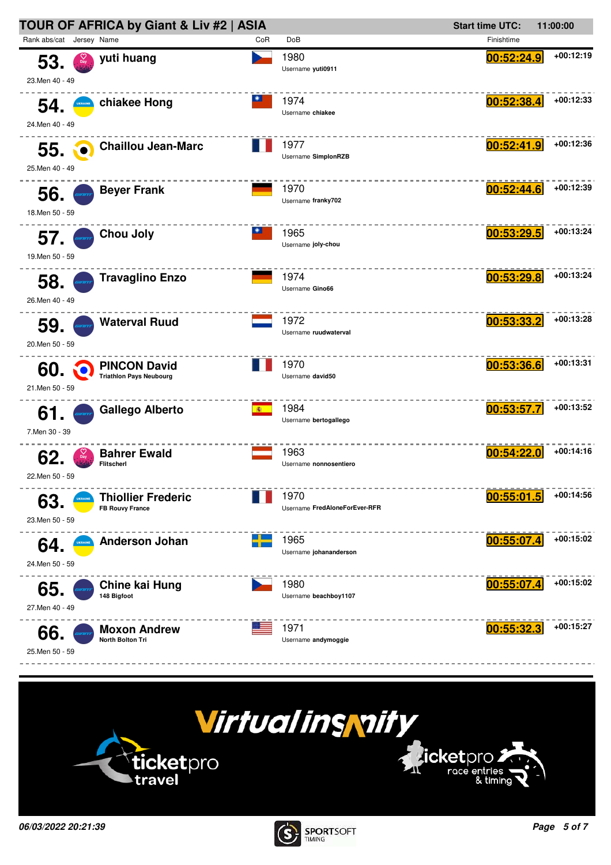



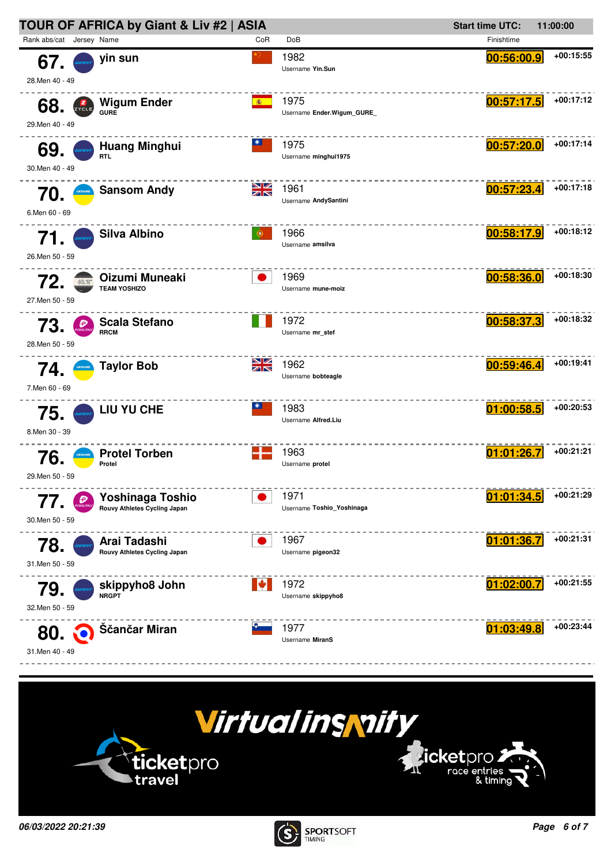